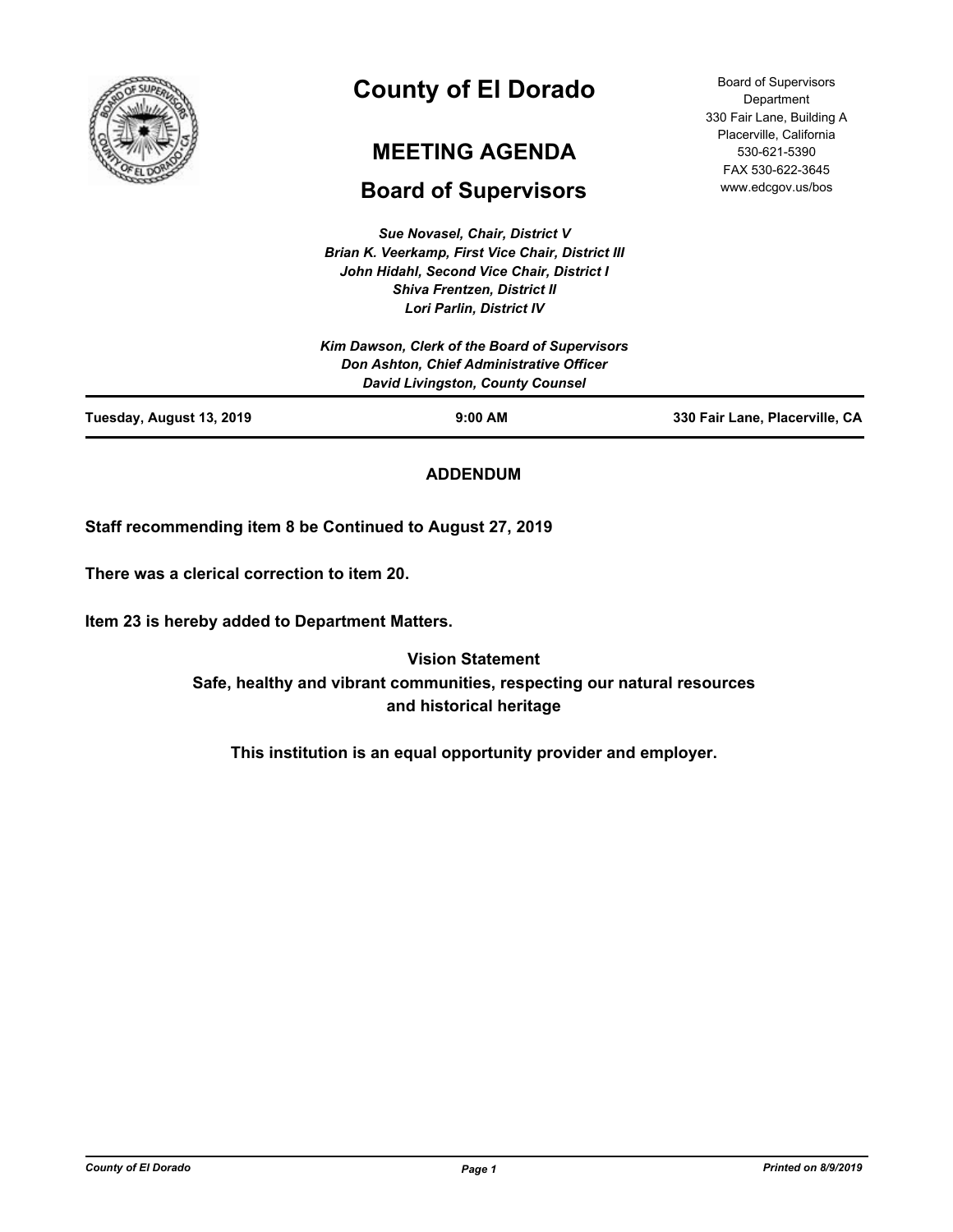

# **County of El Dorado**

## **MEETING AGENDA**

## **Board of Supervisors**

*Sue Novasel, Chair, District V Brian K. Veerkamp, First Vice Chair, District III John Hidahl, Second Vice Chair, District I Shiva Frentzen, District II Lori Parlin, District IV*

Board of Supervisors **Department** 330 Fair Lane, Building A Placerville, California 530-621-5390 FAX 530-622-3645 www.edcgov.us/bos

## **ADDENDUM**

**Staff recommending item 8 be Continued to August 27, 2019**

**There was a clerical correction to item 20.**

**Item 23 is hereby added to Department Matters.**

**Vision Statement Safe, healthy and vibrant communities, respecting our natural resources and historical heritage**

**This institution is an equal opportunity provider and employer.**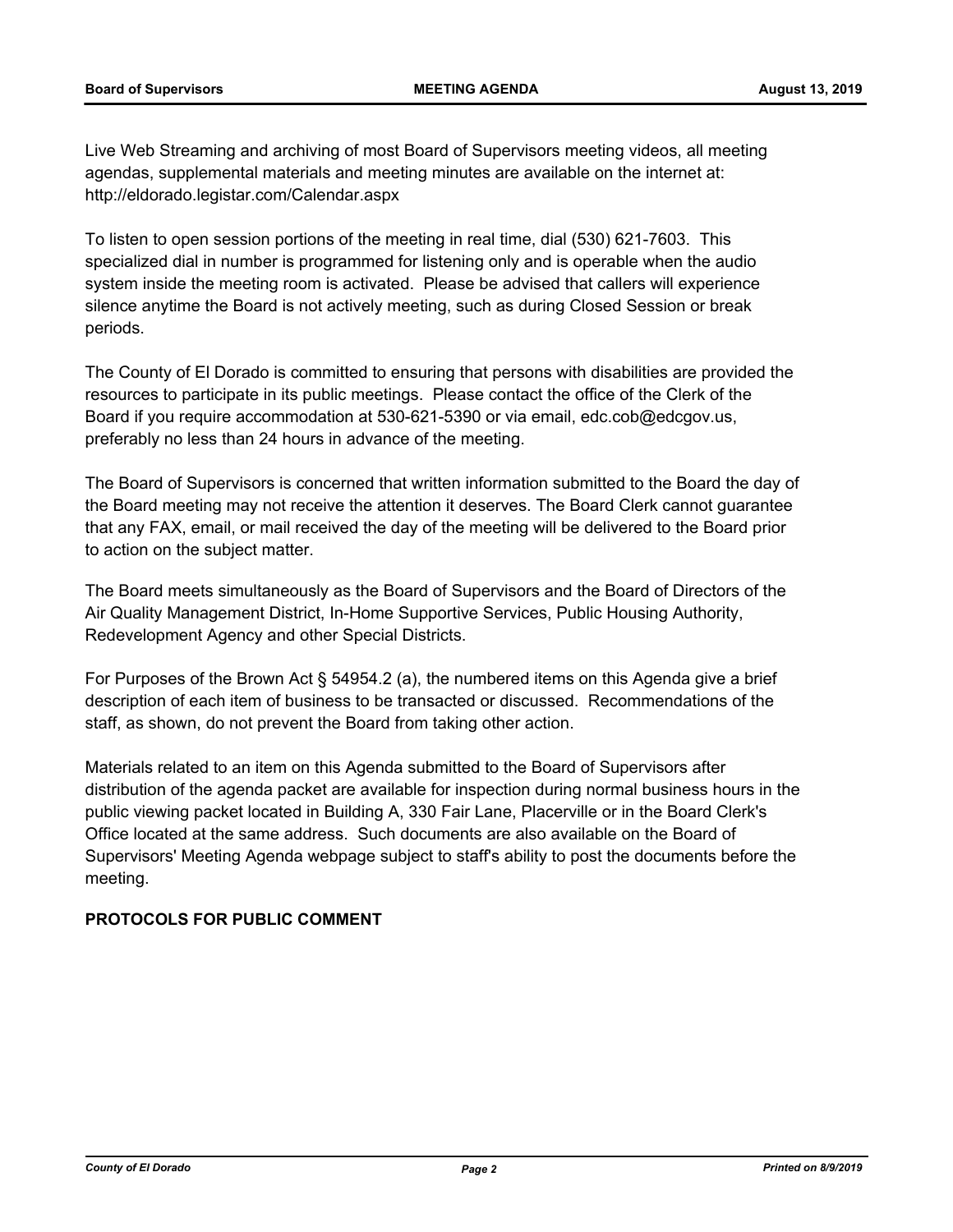Live Web Streaming and archiving of most Board of Supervisors meeting videos, all meeting agendas, supplemental materials and meeting minutes are available on the internet at: http://eldorado.legistar.com/Calendar.aspx

To listen to open session portions of the meeting in real time, dial (530) 621-7603. This specialized dial in number is programmed for listening only and is operable when the audio system inside the meeting room is activated. Please be advised that callers will experience silence anytime the Board is not actively meeting, such as during Closed Session or break periods.

The County of El Dorado is committed to ensuring that persons with disabilities are provided the resources to participate in its public meetings. Please contact the office of the Clerk of the Board if you require accommodation at 530-621-5390 or via email, edc.cob@edcgov.us, preferably no less than 24 hours in advance of the meeting.

The Board of Supervisors is concerned that written information submitted to the Board the day of the Board meeting may not receive the attention it deserves. The Board Clerk cannot guarantee that any FAX, email, or mail received the day of the meeting will be delivered to the Board prior to action on the subject matter.

The Board meets simultaneously as the Board of Supervisors and the Board of Directors of the Air Quality Management District, In-Home Supportive Services, Public Housing Authority, Redevelopment Agency and other Special Districts.

For Purposes of the Brown Act § 54954.2 (a), the numbered items on this Agenda give a brief description of each item of business to be transacted or discussed. Recommendations of the staff, as shown, do not prevent the Board from taking other action.

Materials related to an item on this Agenda submitted to the Board of Supervisors after distribution of the agenda packet are available for inspection during normal business hours in the public viewing packet located in Building A, 330 Fair Lane, Placerville or in the Board Clerk's Office located at the same address. Such documents are also available on the Board of Supervisors' Meeting Agenda webpage subject to staff's ability to post the documents before the meeting.

## **PROTOCOLS FOR PUBLIC COMMENT**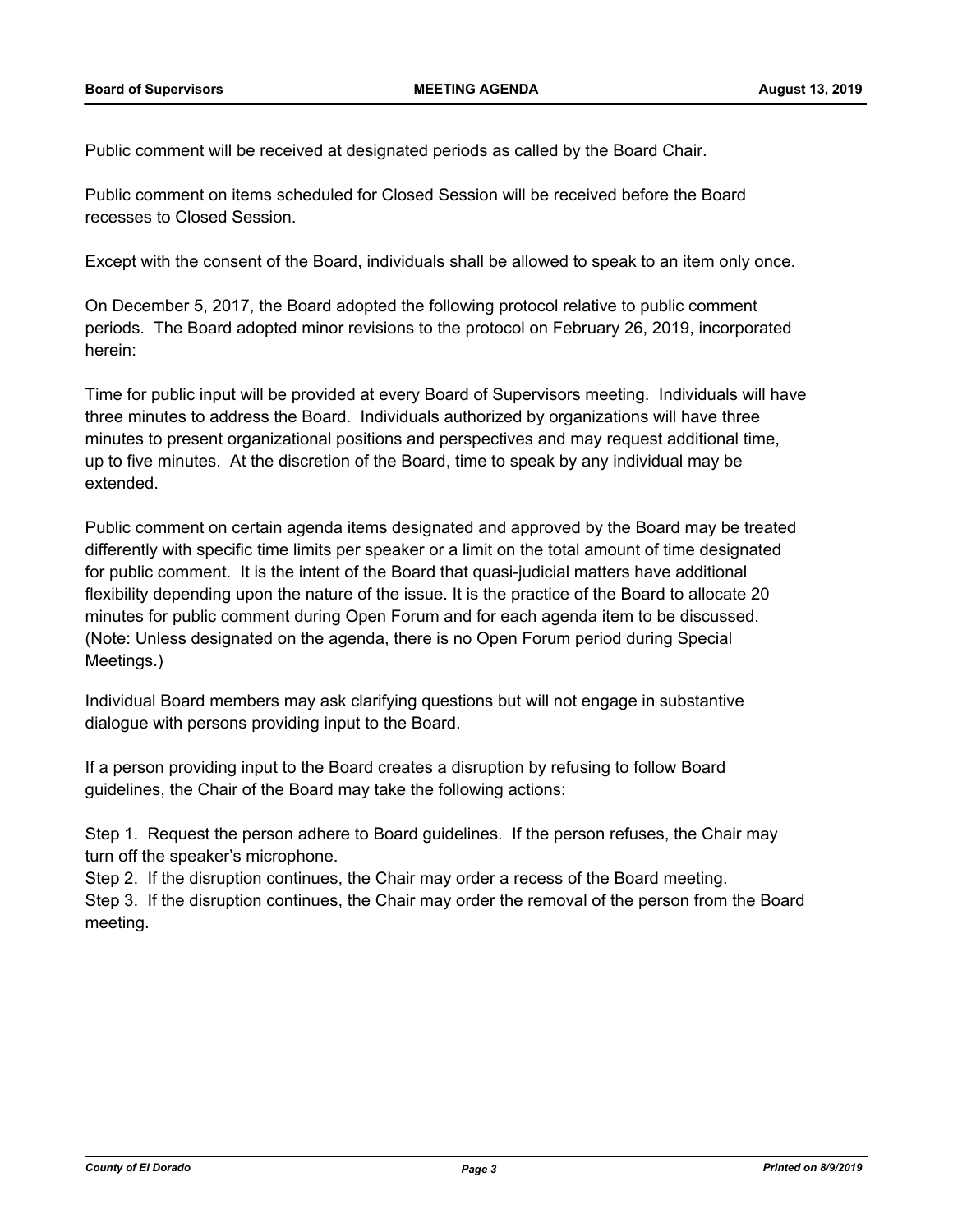Public comment will be received at designated periods as called by the Board Chair.

Public comment on items scheduled for Closed Session will be received before the Board recesses to Closed Session.

Except with the consent of the Board, individuals shall be allowed to speak to an item only once.

On December 5, 2017, the Board adopted the following protocol relative to public comment periods. The Board adopted minor revisions to the protocol on February 26, 2019, incorporated herein:

Time for public input will be provided at every Board of Supervisors meeting. Individuals will have three minutes to address the Board. Individuals authorized by organizations will have three minutes to present organizational positions and perspectives and may request additional time, up to five minutes. At the discretion of the Board, time to speak by any individual may be extended.

Public comment on certain agenda items designated and approved by the Board may be treated differently with specific time limits per speaker or a limit on the total amount of time designated for public comment. It is the intent of the Board that quasi-judicial matters have additional flexibility depending upon the nature of the issue. It is the practice of the Board to allocate 20 minutes for public comment during Open Forum and for each agenda item to be discussed. (Note: Unless designated on the agenda, there is no Open Forum period during Special Meetings.)

Individual Board members may ask clarifying questions but will not engage in substantive dialogue with persons providing input to the Board.

If a person providing input to the Board creates a disruption by refusing to follow Board guidelines, the Chair of the Board may take the following actions:

Step 1. Request the person adhere to Board guidelines. If the person refuses, the Chair may turn off the speaker's microphone.

Step 2. If the disruption continues, the Chair may order a recess of the Board meeting. Step 3. If the disruption continues, the Chair may order the removal of the person from the Board meeting.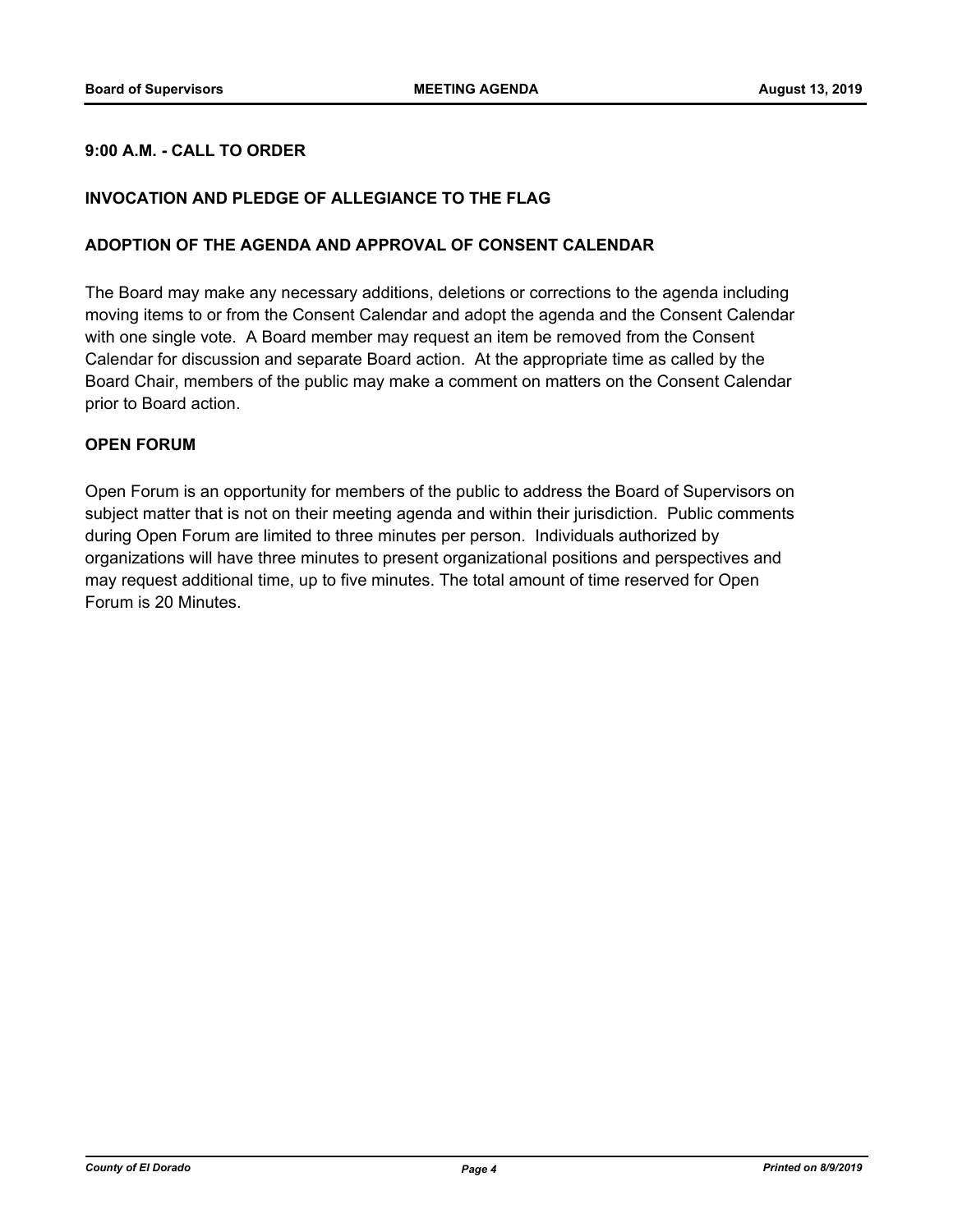### **9:00 A.M. - CALL TO ORDER**

#### **INVOCATION AND PLEDGE OF ALLEGIANCE TO THE FLAG**

#### **ADOPTION OF THE AGENDA AND APPROVAL OF CONSENT CALENDAR**

The Board may make any necessary additions, deletions or corrections to the agenda including moving items to or from the Consent Calendar and adopt the agenda and the Consent Calendar with one single vote. A Board member may request an item be removed from the Consent Calendar for discussion and separate Board action. At the appropriate time as called by the Board Chair, members of the public may make a comment on matters on the Consent Calendar prior to Board action.

#### **OPEN FORUM**

Open Forum is an opportunity for members of the public to address the Board of Supervisors on subject matter that is not on their meeting agenda and within their jurisdiction. Public comments during Open Forum are limited to three minutes per person. Individuals authorized by organizations will have three minutes to present organizational positions and perspectives and may request additional time, up to five minutes. The total amount of time reserved for Open Forum is 20 Minutes.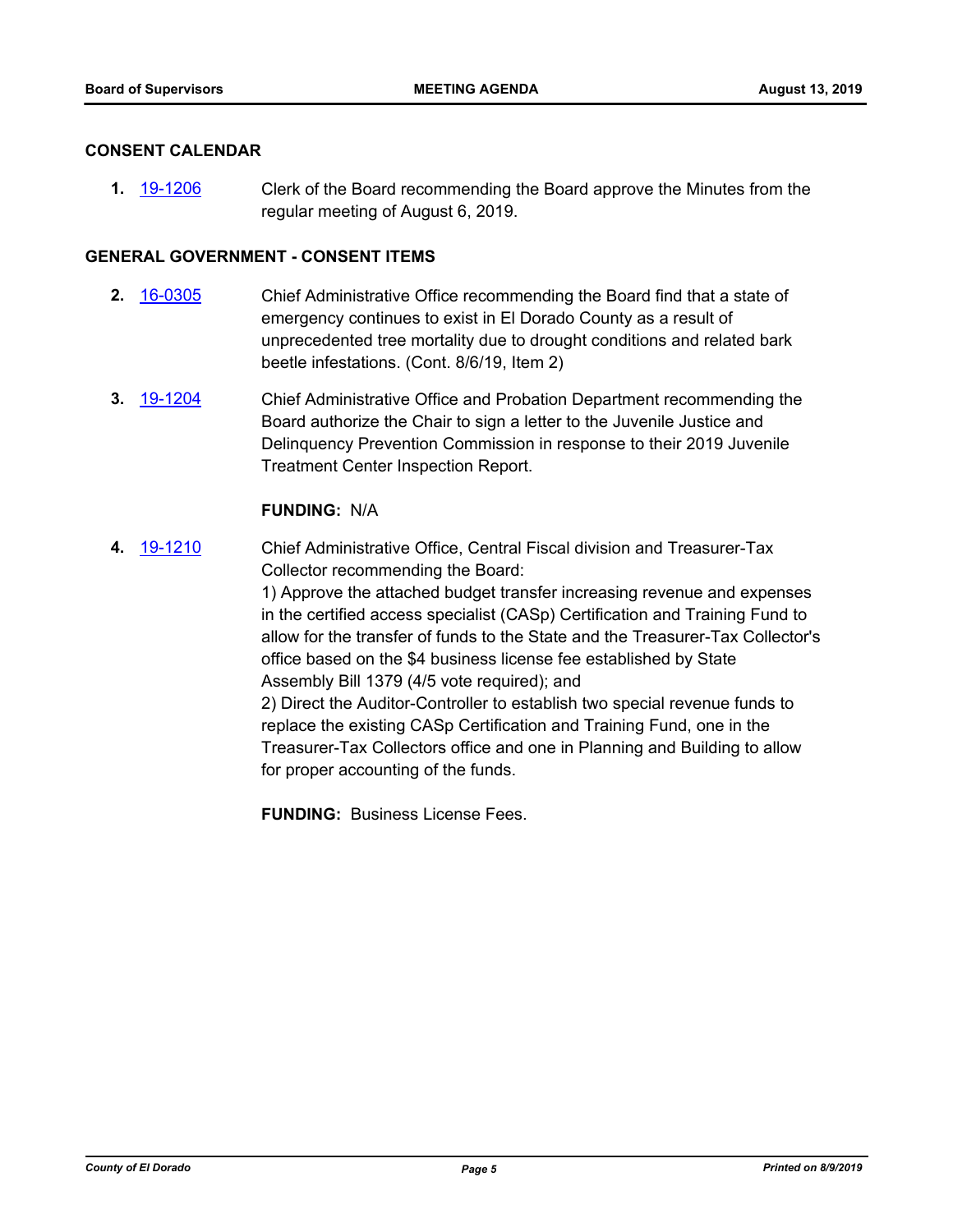#### **CONSENT CALENDAR**

**1.** [19-1206](http://eldorado.legistar.com/gateway.aspx?m=l&id=/matter.aspx?key=26529) Clerk of the Board recommending the Board approve the Minutes from the regular meeting of August 6, 2019.

#### **GENERAL GOVERNMENT - CONSENT ITEMS**

- **2.** [16-0305](http://eldorado.legistar.com/gateway.aspx?m=l&id=/matter.aspx?key=20961) Chief Administrative Office recommending the Board find that a state of emergency continues to exist in El Dorado County as a result of unprecedented tree mortality due to drought conditions and related bark beetle infestations. (Cont. 8/6/19, Item 2)
- **3.** [19-1204](http://eldorado.legistar.com/gateway.aspx?m=l&id=/matter.aspx?key=26527) Chief Administrative Office and Probation Department recommending the Board authorize the Chair to sign a letter to the Juvenile Justice and Delinquency Prevention Commission in response to their 2019 Juvenile Treatment Center Inspection Report.

#### **FUNDING:** N/A

**4.** [19-1210](http://eldorado.legistar.com/gateway.aspx?m=l&id=/matter.aspx?key=26533) Chief Administrative Office, Central Fiscal division and Treasurer-Tax Collector recommending the Board:

> 1) Approve the attached budget transfer increasing revenue and expenses in the certified access specialist (CASp) Certification and Training Fund to allow for the transfer of funds to the State and the Treasurer-Tax Collector's office based on the \$4 business license fee established by State Assembly Bill 1379 (4/5 vote required); and

2) Direct the Auditor-Controller to establish two special revenue funds to replace the existing CASp Certification and Training Fund, one in the Treasurer-Tax Collectors office and one in Planning and Building to allow for proper accounting of the funds.

**FUNDING:** Business License Fees.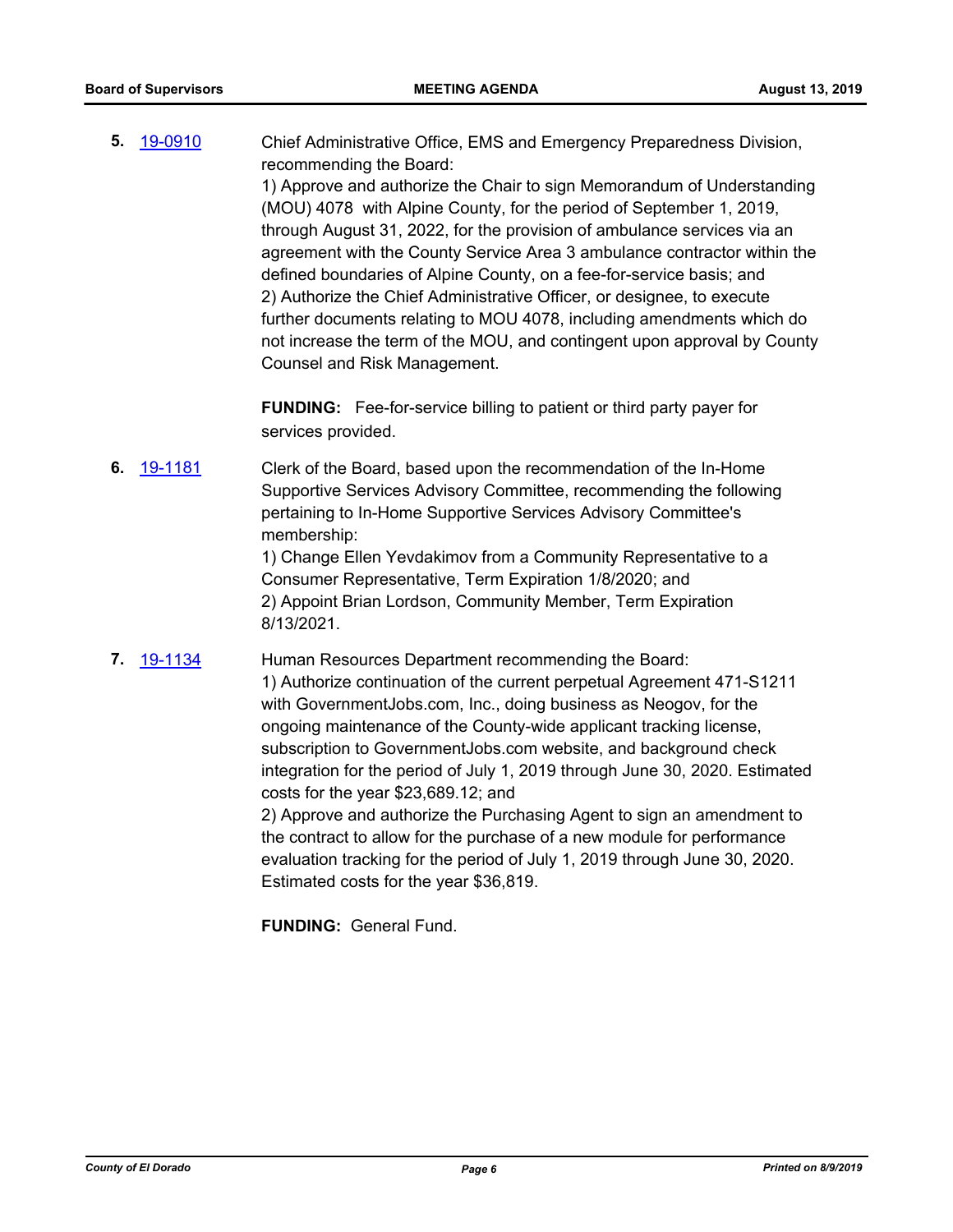**5.** [19-0910](http://eldorado.legistar.com/gateway.aspx?m=l&id=/matter.aspx?key=26233) Chief Administrative Office, EMS and Emergency Preparedness Division, recommending the Board:

> 1) Approve and authorize the Chair to sign Memorandum of Understanding (MOU) 4078 with Alpine County, for the period of September 1, 2019, through August 31, 2022, for the provision of ambulance services via an agreement with the County Service Area 3 ambulance contractor within the defined boundaries of Alpine County, on a fee-for-service basis; and 2) Authorize the Chief Administrative Officer, or designee, to execute further documents relating to MOU 4078, including amendments which do not increase the term of the MOU, and contingent upon approval by County Counsel and Risk Management.

**FUNDING:** Fee-for-service billing to patient or third party payer for services provided.

**6.** [19-1181](http://eldorado.legistar.com/gateway.aspx?m=l&id=/matter.aspx?key=26504) Clerk of the Board, based upon the recommendation of the In-Home Supportive Services Advisory Committee, recommending the following pertaining to In-Home Supportive Services Advisory Committee's membership:

> 1) Change Ellen Yevdakimov from a Community Representative to a Consumer Representative, Term Expiration 1/8/2020; and 2) Appoint Brian Lordson, Community Member, Term Expiration 8/13/2021.

**7.** [19-1134](http://eldorado.legistar.com/gateway.aspx?m=l&id=/matter.aspx?key=26456) Human Resources Department recommending the Board: 1) Authorize continuation of the current perpetual Agreement 471-S1211 with GovernmentJobs.com, Inc., doing business as Neogov, for the ongoing maintenance of the County-wide applicant tracking license, subscription to GovernmentJobs.com website, and background check integration for the period of July 1, 2019 through June 30, 2020. Estimated costs for the year \$23,689.12; and 2) Approve and authorize the Purchasing Agent to sign an amendment to the contract to allow for the purchase of a new module for performance

evaluation tracking for the period of July 1, 2019 through June 30, 2020. Estimated costs for the year \$36,819.

**FUNDING:** General Fund.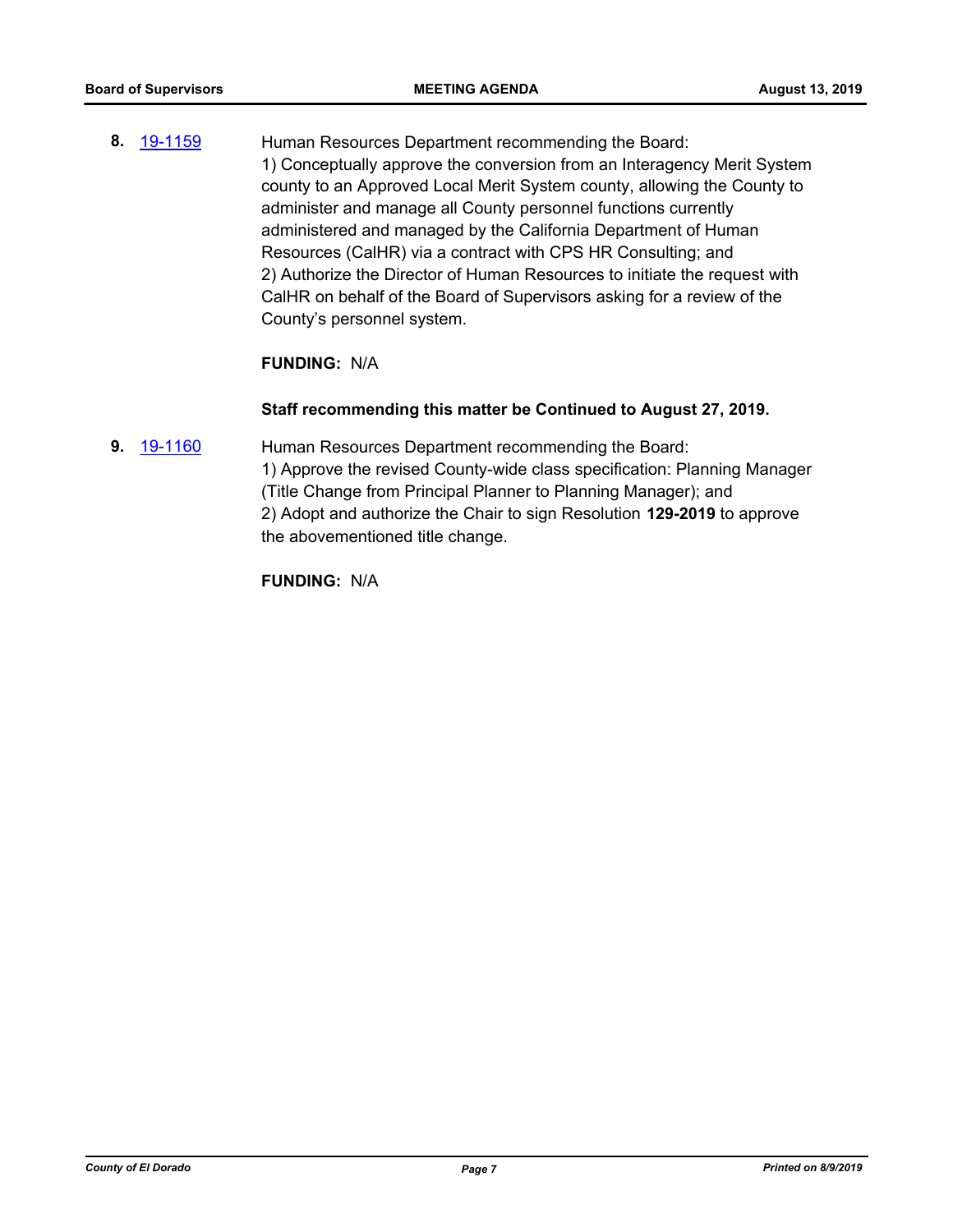**8.** [19-1159](http://eldorado.legistar.com/gateway.aspx?m=l&id=/matter.aspx?key=26482) Human Resources Department recommending the Board: 1) Conceptually approve the conversion from an Interagency Merit System county to an Approved Local Merit System county, allowing the County to administer and manage all County personnel functions currently administered and managed by the California Department of Human Resources (CalHR) via a contract with CPS HR Consulting; and 2) Authorize the Director of Human Resources to initiate the request with CalHR on behalf of the Board of Supervisors asking for a review of the County's personnel system.

#### **FUNDING:** N/A

#### **Staff recommending this matter be Continued to August 27, 2019.**

**9.** [19-1160](http://eldorado.legistar.com/gateway.aspx?m=l&id=/matter.aspx?key=26483) Human Resources Department recommending the Board: 1) Approve the revised County-wide class specification: Planning Manager (Title Change from Principal Planner to Planning Manager); and 2) Adopt and authorize the Chair to sign Resolution **129-2019** to approve the abovementioned title change.

**FUNDING:** N/A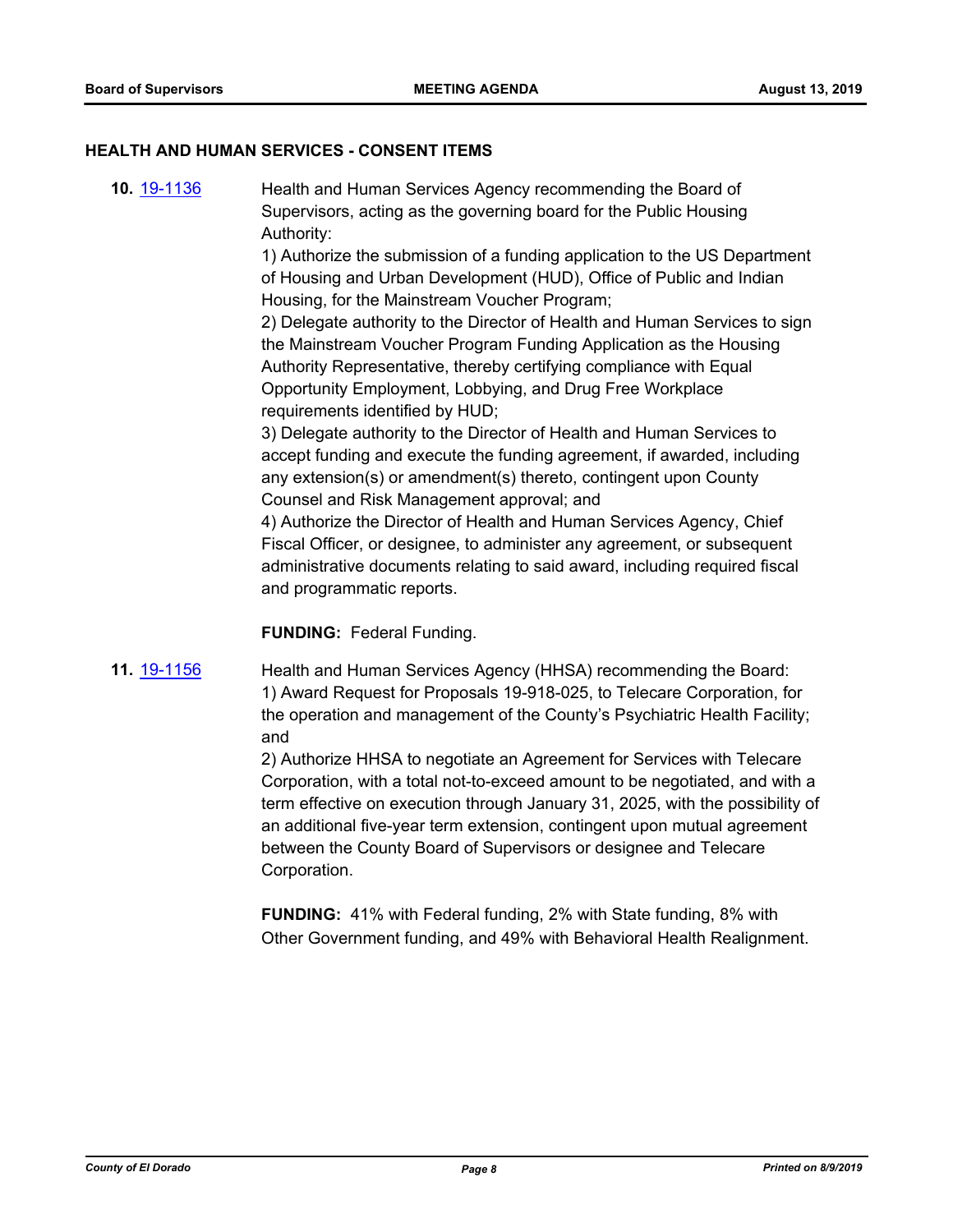#### **HEALTH AND HUMAN SERVICES - CONSENT ITEMS**

**10.** [19-1136](http://eldorado.legistar.com/gateway.aspx?m=l&id=/matter.aspx?key=26458) Health and Human Services Agency recommending the Board of Supervisors, acting as the governing board for the Public Housing Authority:

> 1) Authorize the submission of a funding application to the US Department of Housing and Urban Development (HUD), Office of Public and Indian Housing, for the Mainstream Voucher Program;

> 2) Delegate authority to the Director of Health and Human Services to sign the Mainstream Voucher Program Funding Application as the Housing Authority Representative, thereby certifying compliance with Equal Opportunity Employment, Lobbying, and Drug Free Workplace requirements identified by HUD;

3) Delegate authority to the Director of Health and Human Services to accept funding and execute the funding agreement, if awarded, including any extension(s) or amendment(s) thereto, contingent upon County Counsel and Risk Management approval; and

4) Authorize the Director of Health and Human Services Agency, Chief Fiscal Officer, or designee, to administer any agreement, or subsequent administrative documents relating to said award, including required fiscal and programmatic reports.

**FUNDING:** Federal Funding.

**11.** [19-1156](http://eldorado.legistar.com/gateway.aspx?m=l&id=/matter.aspx?key=26478) Health and Human Services Agency (HHSA) recommending the Board: 1) Award Request for Proposals 19-918-025, to Telecare Corporation, for the operation and management of the County's Psychiatric Health Facility; and

> 2) Authorize HHSA to negotiate an Agreement for Services with Telecare Corporation, with a total not-to-exceed amount to be negotiated, and with a term effective on execution through January 31, 2025, with the possibility of an additional five-year term extension, contingent upon mutual agreement between the County Board of Supervisors or designee and Telecare Corporation.

**FUNDING:** 41% with Federal funding, 2% with State funding, 8% with Other Government funding, and 49% with Behavioral Health Realignment.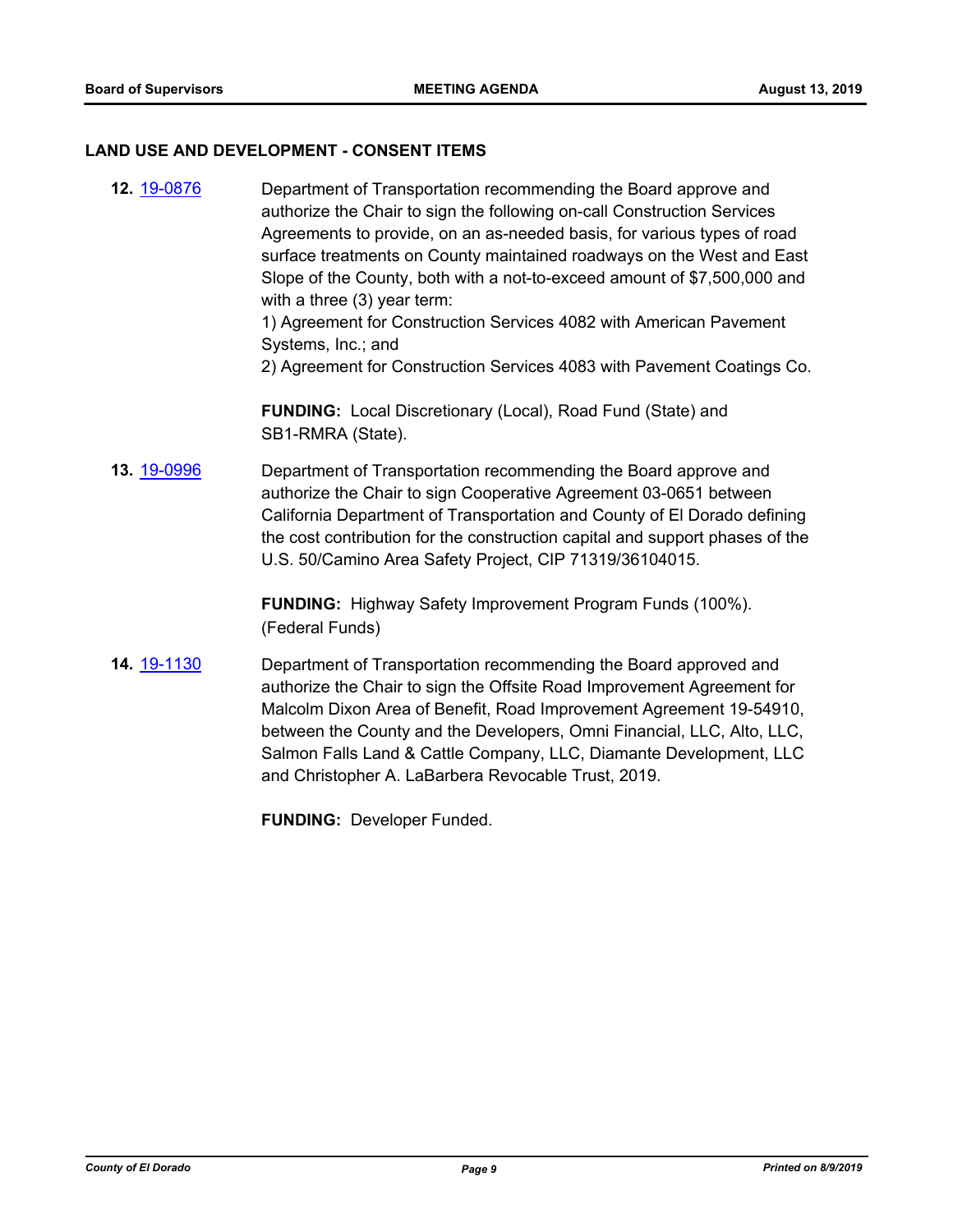#### **LAND USE AND DEVELOPMENT - CONSENT ITEMS**

**12.** [19-0876](http://eldorado.legistar.com/gateway.aspx?m=l&id=/matter.aspx?key=26199) Department of Transportation recommending the Board approve and authorize the Chair to sign the following on-call Construction Services Agreements to provide, on an as-needed basis, for various types of road surface treatments on County maintained roadways on the West and East Slope of the County, both with a not-to-exceed amount of \$7,500,000 and with a three (3) year term:

1) Agreement for Construction Services 4082 with American Pavement Systems, Inc.; and

2) Agreement for Construction Services 4083 with Pavement Coatings Co.

**FUNDING:** Local Discretionary (Local), Road Fund (State) and SB1-RMRA (State).

**13.** [19-0996](http://eldorado.legistar.com/gateway.aspx?m=l&id=/matter.aspx?key=26319) Department of Transportation recommending the Board approve and authorize the Chair to sign Cooperative Agreement 03-0651 between California Department of Transportation and County of El Dorado defining the cost contribution for the construction capital and support phases of the U.S. 50/Camino Area Safety Project, CIP 71319/36104015.

> **FUNDING:** Highway Safety Improvement Program Funds (100%). (Federal Funds)

**14.** [19-1130](http://eldorado.legistar.com/gateway.aspx?m=l&id=/matter.aspx?key=26452) Department of Transportation recommending the Board approved and authorize the Chair to sign the Offsite Road Improvement Agreement for Malcolm Dixon Area of Benefit, Road Improvement Agreement 19-54910, between the County and the Developers, Omni Financial, LLC, Alto, LLC, Salmon Falls Land & Cattle Company, LLC, Diamante Development, LLC and Christopher A. LaBarbera Revocable Trust, 2019.

**FUNDING:** Developer Funded.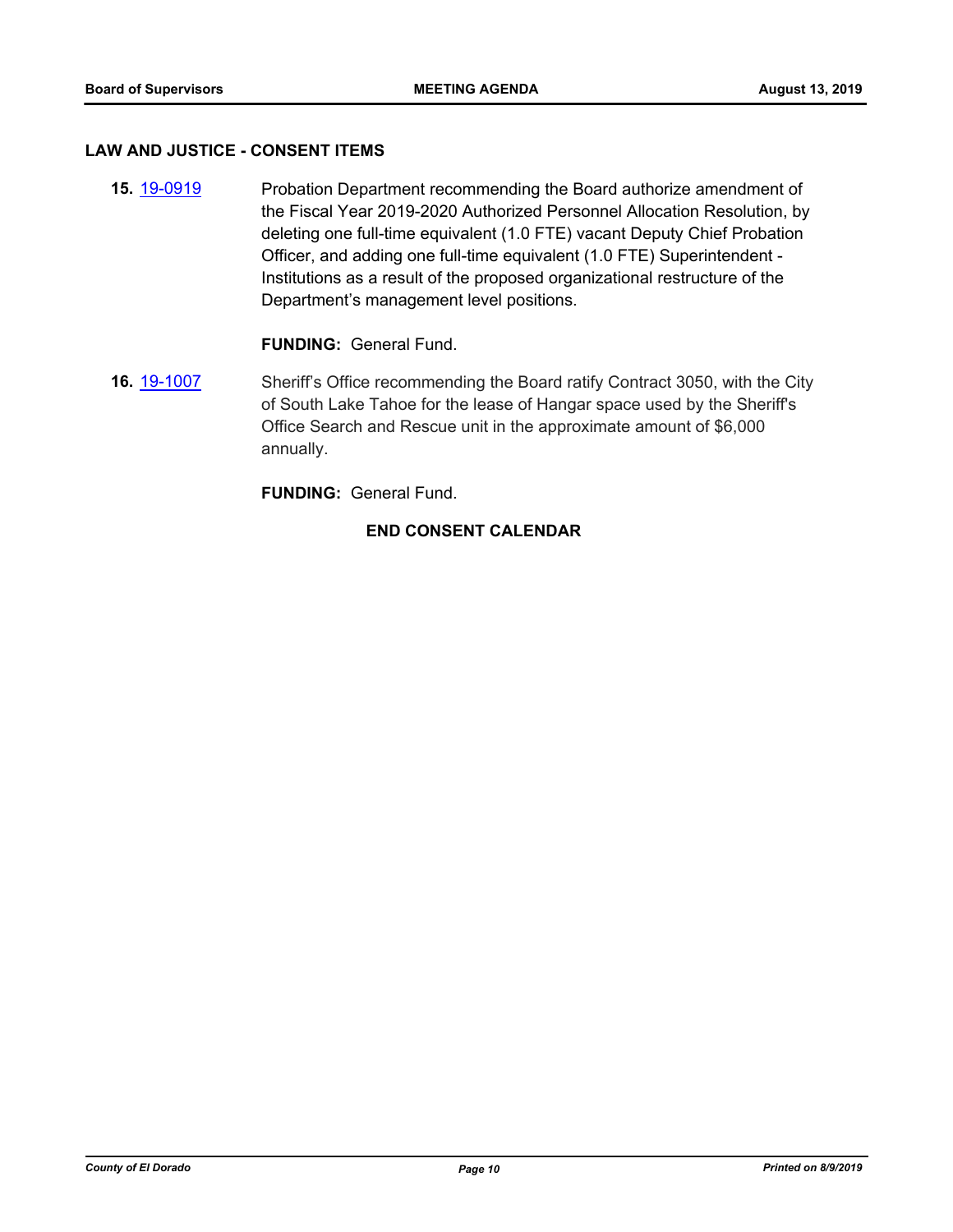#### **LAW AND JUSTICE - CONSENT ITEMS**

**15.** [19-0919](http://eldorado.legistar.com/gateway.aspx?m=l&id=/matter.aspx?key=26242) Probation Department recommending the Board authorize amendment of the Fiscal Year 2019-2020 Authorized Personnel Allocation Resolution, by deleting one full-time equivalent (1.0 FTE) vacant Deputy Chief Probation Officer, and adding one full-time equivalent (1.0 FTE) Superintendent - Institutions as a result of the proposed organizational restructure of the Department's management level positions.

### **FUNDING:** General Fund.

**16.** [19-1007](http://eldorado.legistar.com/gateway.aspx?m=l&id=/matter.aspx?key=26329) Sheriff's Office recommending the Board ratify Contract 3050, with the City of South Lake Tahoe for the lease of Hangar space used by the Sheriff's Office Search and Rescue unit in the approximate amount of \$6,000 annually.

**FUNDING:** General Fund.

#### **END CONSENT CALENDAR**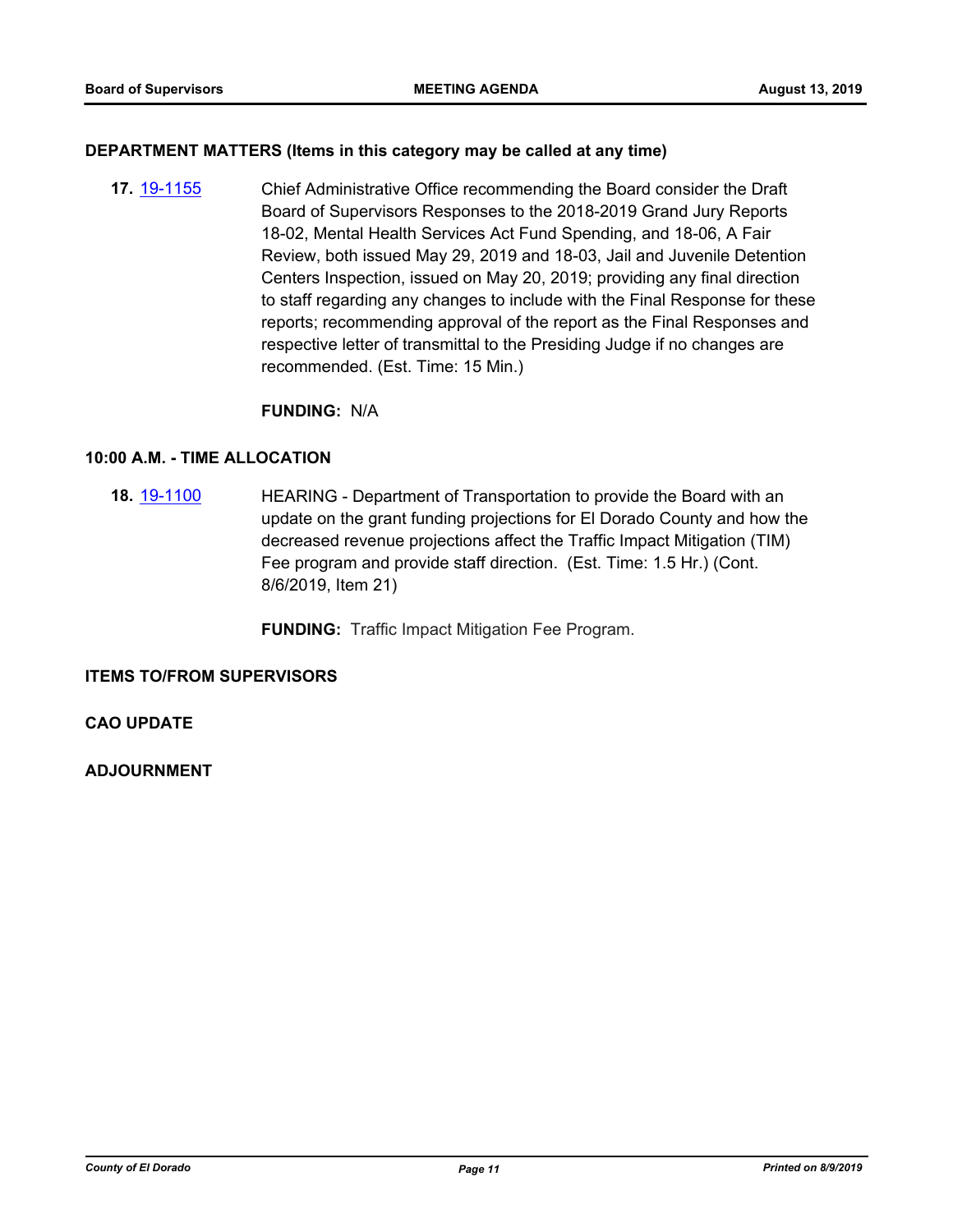#### **DEPARTMENT MATTERS (Items in this category may be called at any time)**

**17.** [19-1155](http://eldorado.legistar.com/gateway.aspx?m=l&id=/matter.aspx?key=26477) Chief Administrative Office recommending the Board consider the Draft Board of Supervisors Responses to the 2018-2019 Grand Jury Reports 18-02, Mental Health Services Act Fund Spending, and 18-06, A Fair Review, both issued May 29, 2019 and 18-03, Jail and Juvenile Detention Centers Inspection, issued on May 20, 2019; providing any final direction to staff regarding any changes to include with the Final Response for these reports; recommending approval of the report as the Final Responses and respective letter of transmittal to the Presiding Judge if no changes are recommended. (Est. Time: 15 Min.)

#### **FUNDING:** N/A

#### **10:00 A.M. - TIME ALLOCATION**

**18.** [19-1100](http://eldorado.legistar.com/gateway.aspx?m=l&id=/matter.aspx?key=26422) HEARING - Department of Transportation to provide the Board with an update on the grant funding projections for El Dorado County and how the decreased revenue projections affect the Traffic Impact Mitigation (TIM) Fee program and provide staff direction. (Est. Time: 1.5 Hr.) (Cont. 8/6/2019, Item 21)

**FUNDING:** Traffic Impact Mitigation Fee Program.

**ITEMS TO/FROM SUPERVISORS**

**CAO UPDATE**

**ADJOURNMENT**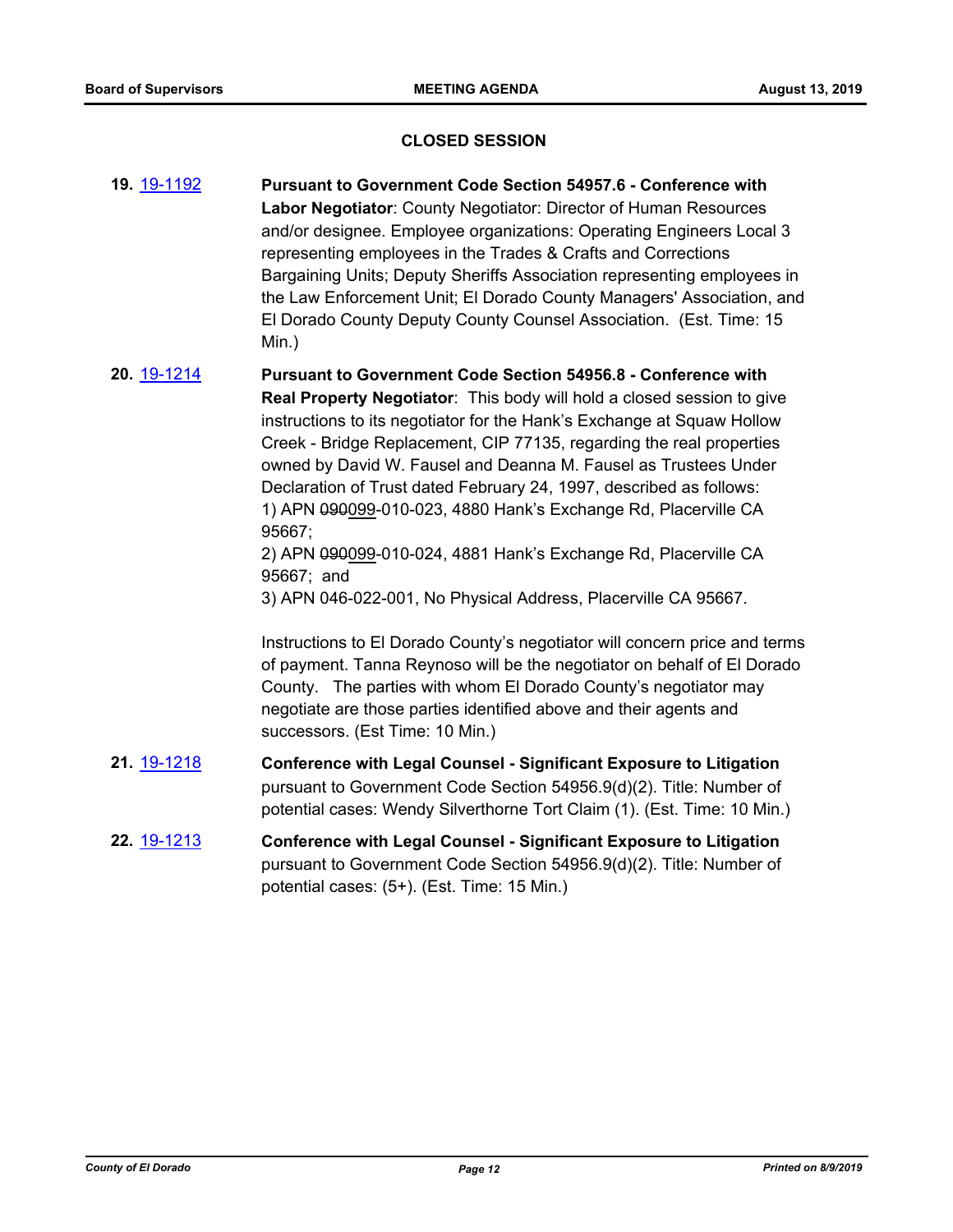#### **CLOSED SESSION**

- **19.** [19-1192](http://eldorado.legistar.com/gateway.aspx?m=l&id=/matter.aspx?key=26515) **Pursuant to Government Code Section 54957.6 Conference with Labor Negotiator**: County Negotiator: Director of Human Resources and/or designee. Employee organizations: Operating Engineers Local 3 representing employees in the Trades & Crafts and Corrections Bargaining Units; Deputy Sheriffs Association representing employees in the Law Enforcement Unit; El Dorado County Managers' Association, and El Dorado County Deputy County Counsel Association. (Est. Time: 15 Min.)
- **20.** [19-1214](http://eldorado.legistar.com/gateway.aspx?m=l&id=/matter.aspx?key=26537) **Pursuant to Government Code Section 54956.8 Conference with Real Property Negotiator**: This body will hold a closed session to give instructions to its negotiator for the Hank's Exchange at Squaw Hollow Creek - Bridge Replacement, CIP 77135, regarding the real properties owned by David W. Fausel and Deanna M. Fausel as Trustees Under Declaration of Trust dated February 24, 1997, described as follows: 1) APN 090099-010-023, 4880 Hank's Exchange Rd, Placerville CA 95667;

2) APN 090099-010-024, 4881 Hank's Exchange Rd, Placerville CA 95667; and

3) APN 046-022-001, No Physical Address, Placerville CA 95667.

Instructions to El Dorado County's negotiator will concern price and terms of payment. Tanna Reynoso will be the negotiator on behalf of El Dorado County. The parties with whom El Dorado County's negotiator may negotiate are those parties identified above and their agents and successors. (Est Time: 10 Min.)

- **21.** [19-1218](http://eldorado.legistar.com/gateway.aspx?m=l&id=/matter.aspx?key=26541) **Conference with Legal Counsel Significant Exposure to Litigation** pursuant to Government Code Section 54956.9(d)(2). Title: Number of potential cases: Wendy Silverthorne Tort Claim (1). (Est. Time: 10 Min.)
- **22.** [19-1213](http://eldorado.legistar.com/gateway.aspx?m=l&id=/matter.aspx?key=26536) **Conference with Legal Counsel Significant Exposure to Litigation** pursuant to Government Code Section 54956.9(d)(2). Title: Number of potential cases: (5+). (Est. Time: 15 Min.)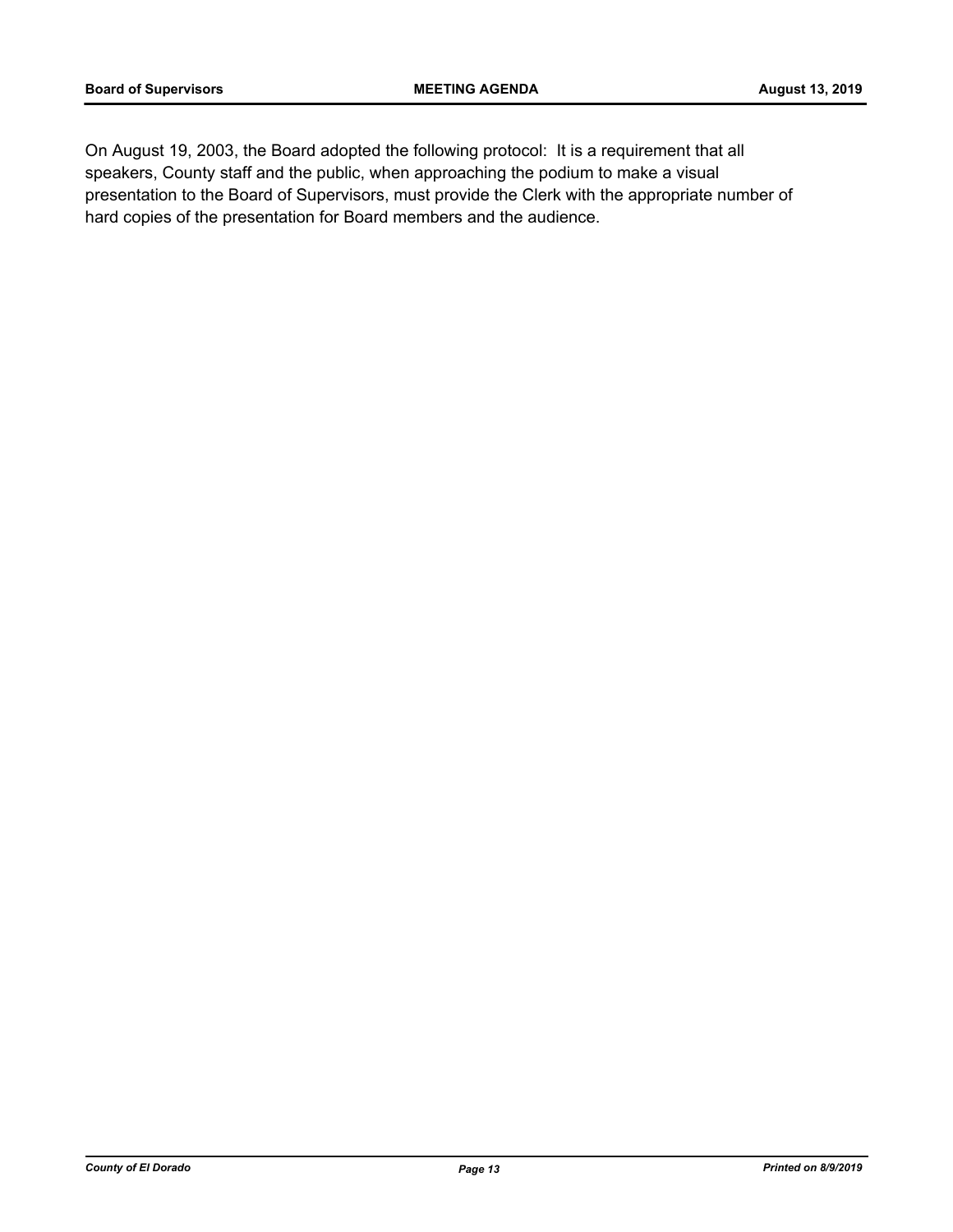On August 19, 2003, the Board adopted the following protocol: It is a requirement that all speakers, County staff and the public, when approaching the podium to make a visual presentation to the Board of Supervisors, must provide the Clerk with the appropriate number of hard copies of the presentation for Board members and the audience.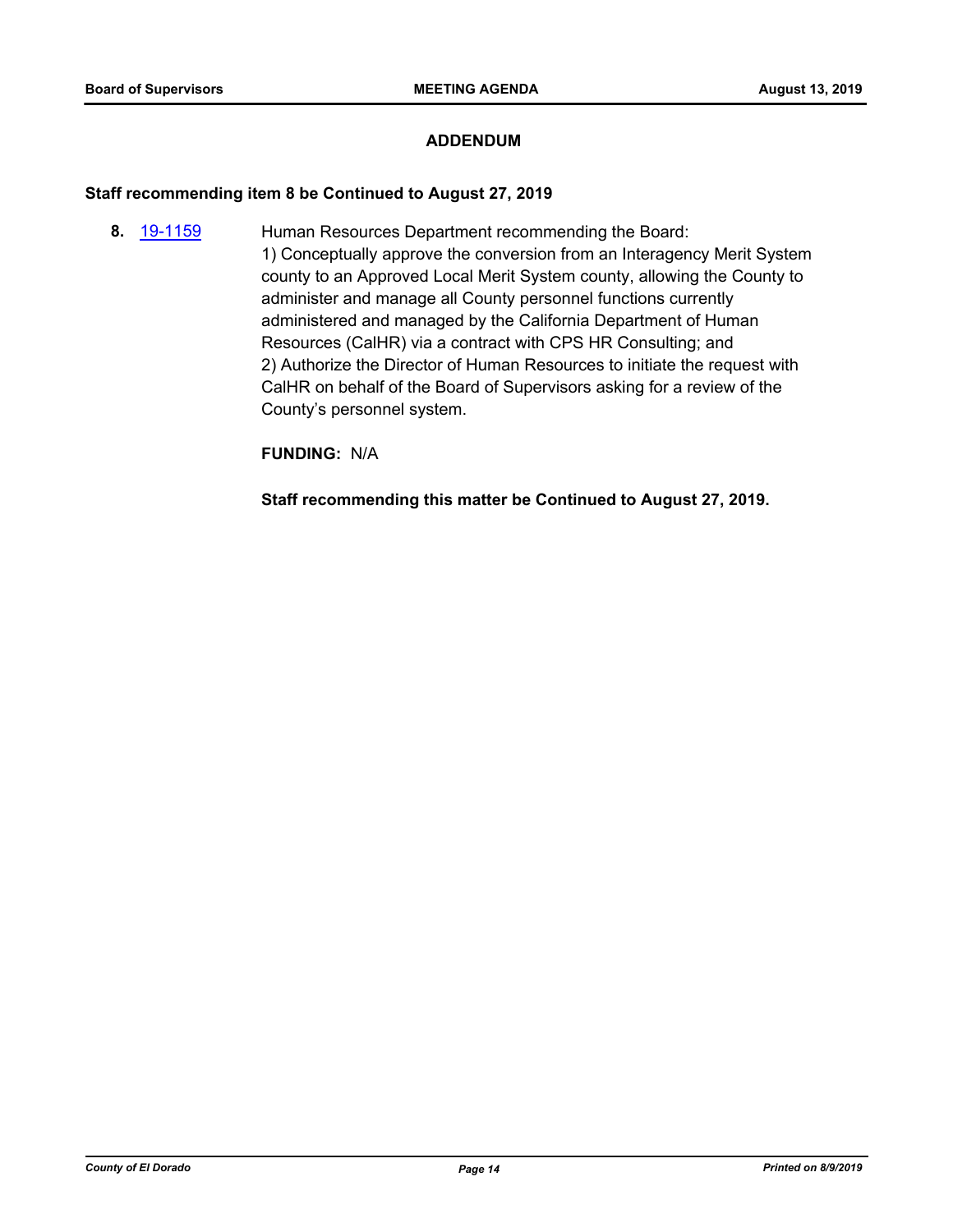#### **ADDENDUM**

#### **Staff recommending item 8 be Continued to August 27, 2019**

**8.** [19-1159](http://eldorado.legistar.com/gateway.aspx?m=l&id=/matter.aspx?key=26482) Human Resources Department recommending the Board: 1) Conceptually approve the conversion from an Interagency Merit System county to an Approved Local Merit System county, allowing the County to administer and manage all County personnel functions currently administered and managed by the California Department of Human Resources (CalHR) via a contract with CPS HR Consulting; and 2) Authorize the Director of Human Resources to initiate the request with CalHR on behalf of the Board of Supervisors asking for a review of the County's personnel system.

**FUNDING:** N/A

**Staff recommending this matter be Continued to August 27, 2019.**